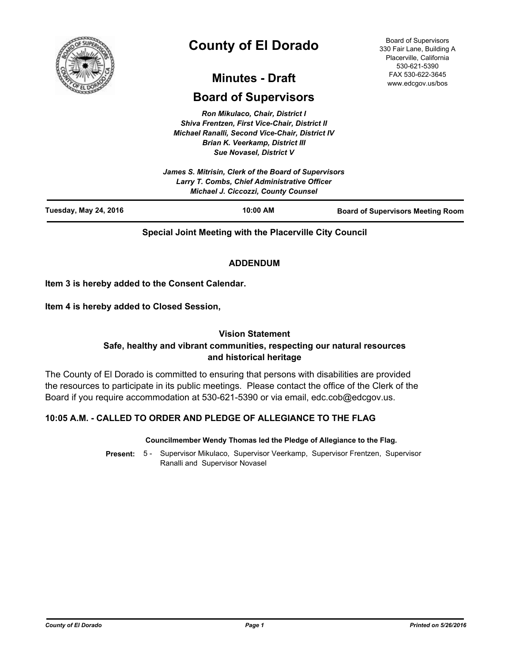

# **County of El Dorado**

# **Minutes - Draft**

# **Board of Supervisors**

*Ron Mikulaco, Chair, District I Shiva Frentzen, First Vice-Chair, District II Michael Ranalli, Second Vice-Chair, District IV Brian K. Veerkamp, District III Sue Novasel, District V* 

*James S. Mitrisin, Clerk of the Board of Supervisors Larry T. Combs, Chief Administrative Officer Michael J. Ciccozzi, County Counsel* **Tuesday, May 24, 2016 10:00 AM Board of Supervisors Meeting Room**

**Special Joint Meeting with the Placerville City Council**

# **ADDENDUM**

**Item 3 is hereby added to the Consent Calendar.**

**Item 4 is hereby added to Closed Session,**

# **Vision Statement**

# **Safe, healthy and vibrant communities, respecting our natural resources and historical heritage**

The County of El Dorado is committed to ensuring that persons with disabilities are provided the resources to participate in its public meetings. Please contact the office of the Clerk of the Board if you require accommodation at 530-621-5390 or via email, edc.cob@edcgov.us.

# **10:05 A.M. - CALLED TO ORDER AND PLEDGE OF ALLEGIANCE TO THE FLAG**

#### **Councilmember Wendy Thomas led the Pledge of Allegiance to the Flag.**

Present: 5 - Supervisor Mikulaco, Supervisor Veerkamp, Supervisor Frentzen, Supervisor Ranalli and Supervisor Novasel

Board of Supervisors 330 Fair Lane, Building A Placerville, California 530-621-5390 FAX 530-622-3645 www.edcgov.us/bos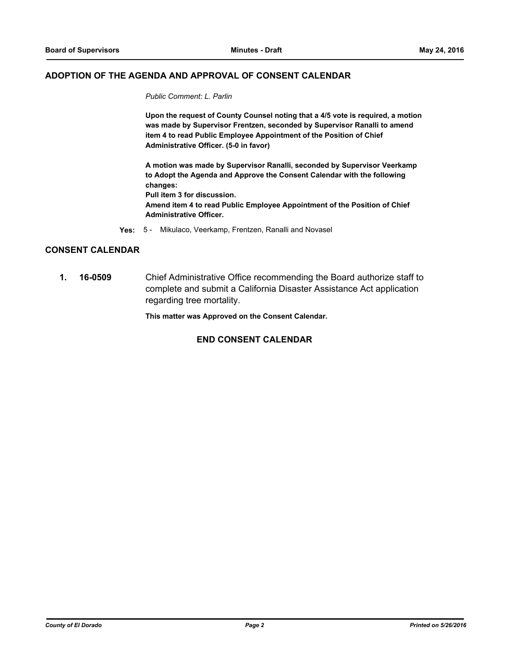#### **ADOPTION OF THE AGENDA AND APPROVAL OF CONSENT CALENDAR**

*Public Comment: L. Parlin*

**Upon the request of County Counsel noting that a 4/5 vote is required, a motion was made by Supervisor Frentzen, seconded by Supervisor Ranalli to amend item 4 to read Public Employee Appointment of the Position of Chief Administrative Officer. (5-0 in favor)**

**A motion was made by Supervisor Ranalli, seconded by Supervisor Veerkamp to Adopt the Agenda and Approve the Consent Calendar with the following changes: Pull item 3 for discussion. Amend item 4 to read Public Employee Appointment of the Position of Chief Administrative Officer.**

**Yes:** 5 - Mikulaco, Veerkamp, Frentzen, Ranalli and Novasel

#### **CONSENT CALENDAR**

**1. 16-0509** Chief Administrative Office recommending the Board authorize staff to complete and submit a California Disaster Assistance Act application regarding tree mortality.

**This matter was Approved on the Consent Calendar.**

#### **END CONSENT CALENDAR**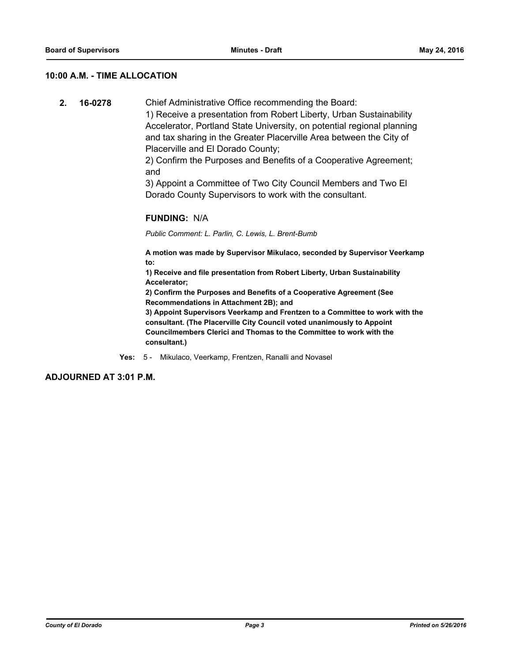#### **10:00 A.M. - TIME ALLOCATION**

**2. 16-0278** Chief Administrative Office recommending the Board:

1) Receive a presentation from Robert Liberty, Urban Sustainability Accelerator, Portland State University, on potential regional planning and tax sharing in the Greater Placerville Area between the City of Placerville and El Dorado County;

2) Confirm the Purposes and Benefits of a Cooperative Agreement; and

3) Appoint a Committee of Two City Council Members and Two El Dorado County Supervisors to work with the consultant.

#### **FUNDING:** N/A

*Public Comment: L. Parlin, C. Lewis, L. Brent-Bumb*

**A motion was made by Supervisor Mikulaco, seconded by Supervisor Veerkamp to:**

**1) Receive and file presentation from Robert Liberty, Urban Sustainability Accelerator;**

**2) Confirm the Purposes and Benefits of a Cooperative Agreement (See Recommendations in Attachment 2B); and**

**3) Appoint Supervisors Veerkamp and Frentzen to a Committee to work with the consultant. (The Placerville City Council voted unanimously to Appoint Councilmembers Clerici and Thomas to the Committee to work with the consultant.)**

**Yes:** 5 - Mikulaco, Veerkamp, Frentzen, Ranalli and Novasel

**ADJOURNED AT 3:01 P.M.**